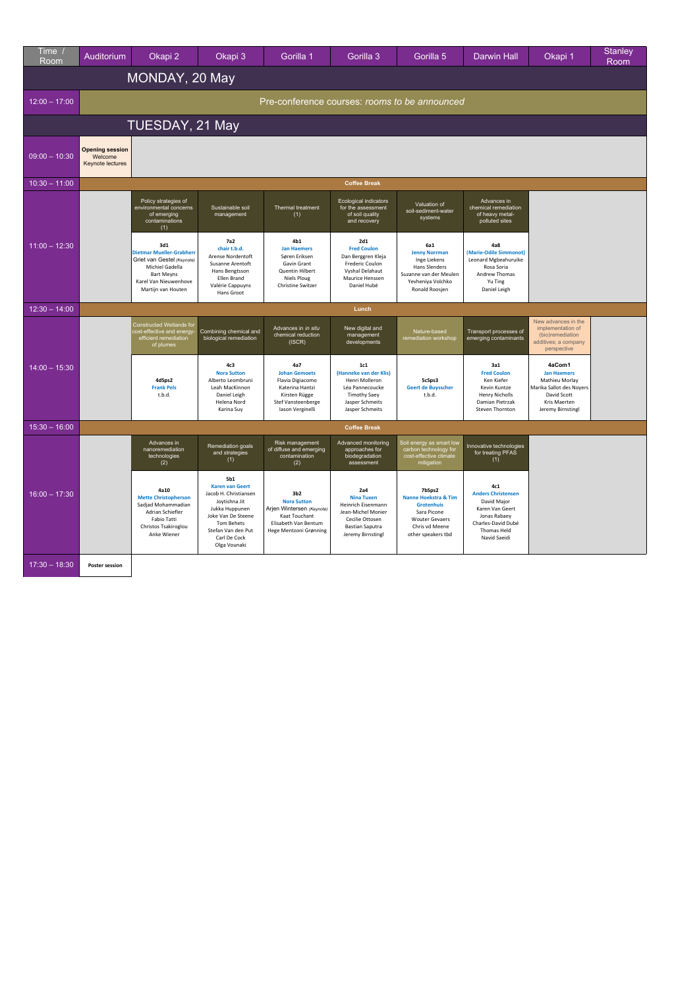| <u>Ti</u> me<br>Room | Auditorium                                            | Okapi 2                                                                                                                                                     | Okapi 3                                                                                                                                                                                    | Gorilla 1                                                                                                                             | Gorilla 3                                                                                                                              | Gorilla 5                                                                                                                           | <b>Darwin Hall</b>                                                                                                                      | Okapi 1                                                                                                                        | <b>Stanley</b><br>Room |  |
|----------------------|-------------------------------------------------------|-------------------------------------------------------------------------------------------------------------------------------------------------------------|--------------------------------------------------------------------------------------------------------------------------------------------------------------------------------------------|---------------------------------------------------------------------------------------------------------------------------------------|----------------------------------------------------------------------------------------------------------------------------------------|-------------------------------------------------------------------------------------------------------------------------------------|-----------------------------------------------------------------------------------------------------------------------------------------|--------------------------------------------------------------------------------------------------------------------------------|------------------------|--|
|                      | MONDAY, 20 May                                        |                                                                                                                                                             |                                                                                                                                                                                            |                                                                                                                                       |                                                                                                                                        |                                                                                                                                     |                                                                                                                                         |                                                                                                                                |                        |  |
| $12:00 - 17:00$      | Pre-conference courses: rooms to be announced         |                                                                                                                                                             |                                                                                                                                                                                            |                                                                                                                                       |                                                                                                                                        |                                                                                                                                     |                                                                                                                                         |                                                                                                                                |                        |  |
|                      | TUESDAY, 21 May                                       |                                                                                                                                                             |                                                                                                                                                                                            |                                                                                                                                       |                                                                                                                                        |                                                                                                                                     |                                                                                                                                         |                                                                                                                                |                        |  |
| $09:00 - 10:30$      | <b>Opening session</b><br>Welcome<br>Keynote lectures |                                                                                                                                                             |                                                                                                                                                                                            |                                                                                                                                       |                                                                                                                                        |                                                                                                                                     |                                                                                                                                         |                                                                                                                                |                        |  |
| $10:30 - 11:00$      |                                                       |                                                                                                                                                             |                                                                                                                                                                                            |                                                                                                                                       | <b>Coffee Break</b>                                                                                                                    |                                                                                                                                     |                                                                                                                                         |                                                                                                                                |                        |  |
|                      |                                                       | Policy strategies of<br>environmental concerns<br>of emerging<br>contaminations<br>(1)                                                                      | Sustainable soil<br>management                                                                                                                                                             | Thermal treatment<br>(1)                                                                                                              | Ecological indicators<br>for the assessment<br>of soil quality<br>and recovery                                                         | Valuation of<br>soil-sediment-water<br>systems                                                                                      | Advances in<br>chemical remediation<br>of heavy metal-<br>polluted sites                                                                |                                                                                                                                |                        |  |
| $11:00 - 12:30$      |                                                       | 3d1<br><b>Dietmar Mueller-Grabherr</b><br>Griet van Gestel (Keynote)<br>Michiel Gadella<br><b>Bart Meyns</b><br>Karel Van Nieuwenhove<br>Martijn van Houten | <b>7a2</b><br>chair t.b.d.<br>Arense Nordentoft<br>Susanne Arentoft<br>Hans Bengtsson<br>Ellen Brand<br>Valérie Cappuyns<br>Hans Groot                                                     | 4b1<br><b>Jan Haemers</b><br>Søren Eriksen<br>Gavin Grant<br>Quentin Hilbert<br><b>Niels Ploug</b><br>Christine Switzer               | 2d1<br><b>Fred Coulon</b><br>Dan Berggren Kleja<br>Frederic Coulon<br>Vyshal Delahaut<br>Maurice Henssen<br>Daniel Hubé                | 6a1<br><b>Jenny Norrman</b><br>Inge Liekens<br>Hans Slenders<br>Suzanne van der Meulen<br>Yevheniya Volchko<br>Ronald Roosjen       | 4a8<br>(Marie-Odile Simmonot)<br>Leonard Mgbeahuruike<br>Rosa Soria<br>Andrew Thomas<br>Yu Ting<br>Daniel Leigh                         |                                                                                                                                |                        |  |
| $12:30 - 14:00$      |                                                       |                                                                                                                                                             |                                                                                                                                                                                            |                                                                                                                                       | Lunch                                                                                                                                  |                                                                                                                                     |                                                                                                                                         |                                                                                                                                |                        |  |
| $14:00 - 15:30$      |                                                       | Constructed Wetlands for<br>cost-effective and energy-<br>efficient remediation<br>of plumes                                                                | Combining chemical and<br>biological remediation                                                                                                                                           | Advances in in situ<br>chemical reduction<br>(ISCR)                                                                                   | New digital and<br>management<br>developments                                                                                          | Nature-based<br>remediation workshop                                                                                                | Transport processes of<br>emerging contaminants                                                                                         | New advances in the<br>implementation of<br>(bio)remediation<br>additives; a company<br>perspective                            |                        |  |
|                      |                                                       | 4dSps2<br><b>Frank Pels</b><br>t.b.d.                                                                                                                       | 4c3<br><b>Nora Sutton</b><br>Alberto Leombruni<br>Leah MacKinnon<br>Daniel Leigh<br>Helena Nord<br>Karina Suy                                                                              | 4a7<br><b>Johan Gemoets</b><br>Flavia Digiacomo<br>Katerina Hantzi<br>Kirsten Rügge<br>Stef Vansteenberge<br>Iason Verginelli         | 1c1<br>(Hanneke van der Klis)<br>Henri Molleron<br>Léa Pannecoucke<br><b>Timothy Saey</b><br>Jasper Schmeits<br>Jasper Schmeits        | 5cSps3<br><b>Geert de Buysscher</b><br>t.b.d.                                                                                       | 3a1<br><b>Fred Coulon</b><br>Ken Kiefer<br>Kevin Kuntze<br><b>Henry Nicholls</b><br>Damian Pietrzak<br>Steven Thornton                  | 4aCom1<br><b>Jan Haemers</b><br>Mathieu Morlay<br>Marika Sallot des Noyers<br>David Scott<br>Kris Maerten<br>Jeremy Birnstingl |                        |  |
| $15:30 - 16:00$      |                                                       |                                                                                                                                                             |                                                                                                                                                                                            |                                                                                                                                       | <b>Coffee Break</b>                                                                                                                    |                                                                                                                                     |                                                                                                                                         |                                                                                                                                |                        |  |
| $16:00 - 17:30$      |                                                       | Advances in<br>nanoremediation<br>technologies<br>(2)                                                                                                       | Remediation goals<br>and strategies<br>(1)                                                                                                                                                 | Risk management<br>of diffuse and emerging<br>contamination<br>(2)                                                                    | Advanced monitoring<br>approaches for<br>biodegradation<br>assessment                                                                  | Soil energy as smart low<br>carbon technology for<br>cost-effective climate<br>mitigation                                           | Innovative technologies<br>for treating PFAS<br>(1)                                                                                     |                                                                                                                                |                        |  |
|                      |                                                       | 4a10<br><b>Mette Christopherson</b><br>Sadjad Mohammadian<br>Adrian Schiefler<br><b>Fabio Tatti</b><br>Christos Tsakiroglou<br>Anke Wiener                  | 5b1<br><b>Karen van Geert</b><br>Jacob H. Christiansen<br>Joytishna Jit<br>Jukka Huppunen<br>Joke Van De Steene<br><b>Tom Behets</b><br>Stefan Van den Put<br>Carl De Cock<br>Olga Vounaki | 3 <sub>b2</sub><br><b>Nora Sutton</b><br>Arjen Wintersen (Keynote)<br>Kaat Touchant<br>Elisabeth Van Bentum<br>Hege Mentzoni Grønning | 2a4<br><b>Nina Tuxen</b><br>Heinrich Eisenmann<br>Jean-Michel Monier<br>Cecilie Ottosen<br><b>Bastian Saputra</b><br>Jeremy Birnstingl | 7bSps2<br>Nanne Hoekstra & Tim<br><b>Grotenhuis</b><br>Sara Picone<br><b>Wouter Gevaers</b><br>Chris vd Meene<br>other speakers tbd | 4c1<br><b>Anders Christensen</b><br>David Major<br>Karen Van Geert<br>Jonas Rabaey<br>Charles-David Dubé<br>Thomas Held<br>Navid Saeidi |                                                                                                                                |                        |  |
| $17:30 - 18:30$      | <b>Poster session</b>                                 |                                                                                                                                                             |                                                                                                                                                                                            |                                                                                                                                       |                                                                                                                                        |                                                                                                                                     |                                                                                                                                         |                                                                                                                                |                        |  |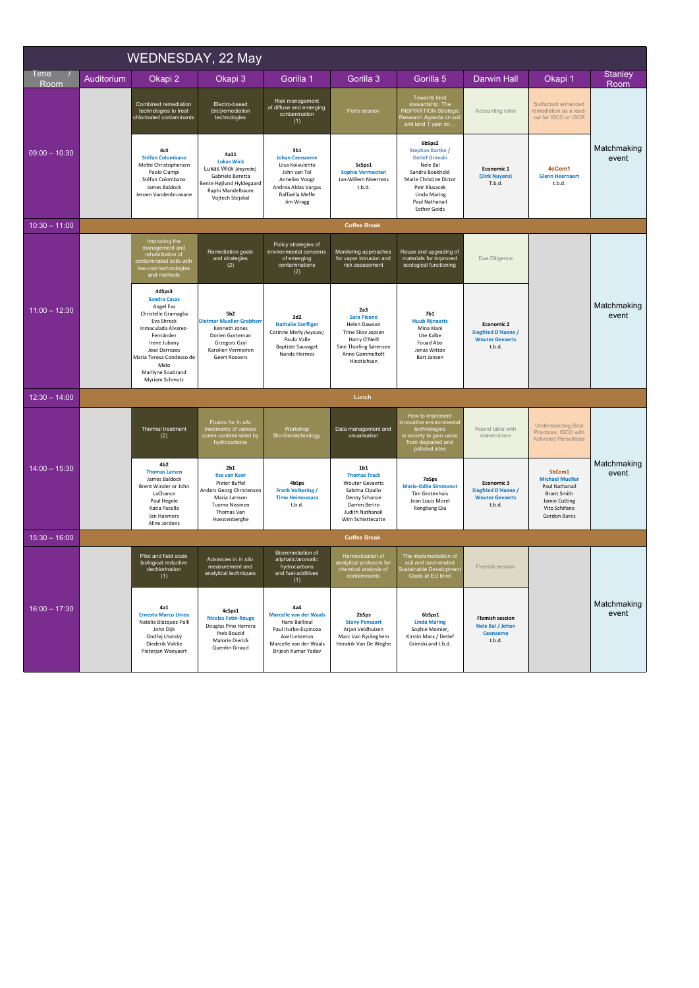| WEDNESDAY, 22 May |                     |                                                                                                                                                                                                                                         |                                                                                                                                                               |                                                                                                                                                       |                                                                                                                                                                |                                                                                                                                                                                               |                                                                                     |                                                                                                                                   |                      |
|-------------------|---------------------|-----------------------------------------------------------------------------------------------------------------------------------------------------------------------------------------------------------------------------------------|---------------------------------------------------------------------------------------------------------------------------------------------------------------|-------------------------------------------------------------------------------------------------------------------------------------------------------|----------------------------------------------------------------------------------------------------------------------------------------------------------------|-----------------------------------------------------------------------------------------------------------------------------------------------------------------------------------------------|-------------------------------------------------------------------------------------|-----------------------------------------------------------------------------------------------------------------------------------|----------------------|
| Time<br>Room      | Auditorium          | Okapi 2                                                                                                                                                                                                                                 | Okapi 3                                                                                                                                                       | Gorilla 1                                                                                                                                             | Gorilla 3                                                                                                                                                      | Gorilla 5                                                                                                                                                                                     | <b>Darwin Hall</b>                                                                  | Okapi 1                                                                                                                           | Stanley<br>Room      |
| $09:00 - 10:30$   |                     | Combined remediation<br>technologies to treat<br>chlorinated contaminants                                                                                                                                                               | Electro-based<br>(bio)remediation<br>technologies                                                                                                             | Risk management<br>of diffuse and emerging<br>contamination<br>(1)                                                                                    | Ports session                                                                                                                                                  | Towards land<br>stewardship: The<br><b>INSPIRATION Strategio</b><br>Research Agenda on soi<br>and land 1 year on                                                                              | Accounting rules                                                                    | Surfactant enhanced<br>remediation as a lead-<br>out for ISCO or ISCR                                                             | Matchmaking<br>event |
|                   |                     | 4c4<br><b>Stéfan Colombano</b><br>Mette Christophersen<br>Paolo Ciampi<br>Stéfan Colombano<br>James Baldock<br>Jeroen Vandenbruwane                                                                                                     | 4a11<br><b>Lukas Wick</b><br>Lukas Wick (keynote)<br>Gabriele Beretta<br>Bente Højlund Hyldegaard<br>Raphi Mandelbaum<br>Vojtech Stejskal                     | 3 <sub>b1</sub><br><b>Johan Ceenaeme</b><br>Liisa Koivulehto<br>John van Tol<br>Annelies Voogt<br>Andrea Aldas Vargas<br>Raffaella Meffe<br>Jim Wragg | 5cSps1<br><b>Sophie Vermooten</b><br>Jan-Willem Meertens<br>t.b.d.                                                                                             | 6bSps2<br>Stephan Bartke /<br><b>Detlef Grimski</b><br>Nele Bal<br>Sandra Boekhold<br>Marie Christine Dictor<br>Petr Klusacek<br><b>Linda Maring</b><br>Paul Nathanail<br><b>Esther Goids</b> | Economic 1<br>(Dirk Nuyens)<br>T.b.d.                                               | 4cCom1<br><b>Glenn Heernaert</b><br>t.b.d.                                                                                        |                      |
| $10:30 - 11:00$   |                     |                                                                                                                                                                                                                                         |                                                                                                                                                               |                                                                                                                                                       | <b>Coffee Break</b>                                                                                                                                            |                                                                                                                                                                                               |                                                                                     |                                                                                                                                   |                      |
| $11:00 - 12:30$   |                     | Improving the<br>management and<br>rehabilitation of<br>contaminated soils with<br>low-cost technologies<br>and methods                                                                                                                 | Remediation goals<br>and strategies<br>(2)                                                                                                                    | Policy strategies of<br>environmental concerns<br>of emerging<br>contaminations<br>(2)                                                                | Monitoring approaches<br>for vapor intrusion and<br>risk assessment                                                                                            | Reuse and upgrading of<br>materials for improved<br>ecological functioning                                                                                                                    | Due Diligence                                                                       |                                                                                                                                   | Matchmaking<br>event |
|                   |                     | 4dSps3<br><b>Sandra Casas</b><br>Angel Faz<br>Christelle Gramaglia<br><b>Fva Shreck</b><br>Inmaculada Álvarez-<br>Fernández<br>Irene Jubany<br>Jose Darrozes<br>Maria Teresa Condesso de<br>Melo<br>Marilyne Soubrand<br>Myriam Schmutz | 5b <sub>2</sub><br><b>Dietmar Mueller-Grabherr</b><br>Kenneth Jones<br>Dorien Gorteman<br>Grzegorz Gzyl<br>Karolien Vermeiren<br><b>Geert Roovers</b>         | 3d2<br><b>Nathalie Dorfliger</b><br>Corinne Merly (keynote)<br>Paulo Valle<br><b>Baptiste Sauvaget</b><br>Nanda Hermes                                | 2a <sub>3</sub><br><b>Sara Picone</b><br>Helen Dawson<br>Trine Skov Jepsen<br>Harry O'Neill<br>Sine Thorling Sørensen<br>Anne Gammeltoft<br>Hindrichsen        | 7b1<br><b>Huub Rijnaarts</b><br>Mina Kiani<br>Ute Kalbe<br>Fouad Abo<br>Jonas Wittox<br>Bart Jansen                                                                                           | <b>Economic 2</b><br><b>Siegfried D'Haene /</b><br><b>Wouter Gevaerts</b><br>t.b.d. |                                                                                                                                   |                      |
| $12:30 - 14:00$   |                     |                                                                                                                                                                                                                                         |                                                                                                                                                               |                                                                                                                                                       | Lunch                                                                                                                                                          |                                                                                                                                                                                               |                                                                                     |                                                                                                                                   |                      |
| $14:00 - 15:30$   |                     | Thermal treatment<br>(2)                                                                                                                                                                                                                | Foams for in situ<br>treatments of vadose<br>zones contaminated by<br>hydrocarbons                                                                            | Workshop<br>Bio-Geotechnology                                                                                                                         | Data management and<br>visualisation                                                                                                                           | How to implement<br>innovative environmental<br>technologies<br>in society to gain value<br>from degraded and<br>polluted sites                                                               | Round table with<br>stakeholders                                                    | <b>Understanding Best</b><br>Practices: ISCO with<br><b>Activated Persulfates</b>                                                 | Matchmaking<br>event |
|                   |                     | 4 <sub>b2</sub><br><b>Thomas Larsen</b><br>James Baldock<br>Brent Winder or John<br>LaChance<br>Paul Hegele<br>Katia Pacella<br>Jan Haemers<br>Aline Jordens                                                                            | 2 <sub>h1</sub><br><b>Ilse van Keer</b><br>Pieter Buffel<br>Anders Georg Christensen<br>Maria Larsson<br><b>Tuomo Nissinen</b><br>Thomas Van<br>Hoestenberghe | 4bSps<br><b>Frank Volkering /</b><br><b>Timo Heimovaara</b><br>t.b.d.                                                                                 | 1 <sub>b1</sub><br><b>Thomas Track</b><br><b>Wouter Gevaerts</b><br>Sabrina Cipullo<br>Denny Schanze<br>Darren Beriro<br>Judith Nathanail<br>Wim Schiettecatte | 7aSps<br><b>Marie-Odile Simmonot</b><br><b>Tim Grotenhuis</b><br>Jean Louis Morel<br>Rongliang Qiu                                                                                            | Economic 3<br><b>Siegfried D'Haene /</b><br><b>Wouter Gevaerts</b><br>t.b.d.        | 5bCom1<br><b>Michael Mueller</b><br>Paul Nathanail<br><b>Brant Smith</b><br>Jamie Cutting<br>Vito Schifano<br><b>Gordon Bures</b> |                      |
| $15:30 - 16:00$   | <b>Coffee Break</b> |                                                                                                                                                                                                                                         |                                                                                                                                                               |                                                                                                                                                       |                                                                                                                                                                |                                                                                                                                                                                               |                                                                                     |                                                                                                                                   |                      |
| $16:00 - 17:30$   |                     | Pilot and field scale<br>biological reductive<br>echlorination<br>(1)                                                                                                                                                                   | Advances in in situ<br>measurement and<br>analytical techniques                                                                                               | Bioremediation of<br>aliphatic/aromatic<br>hydrocarbons<br>and fuel-additives<br>(1)                                                                  | Harmonization of<br>analytical protocols for<br>contaminants                                                                                                   | The implementation of<br>soil and land-related<br>Goals at EU level                                                                                                                           | Flemish session                                                                     |                                                                                                                                   |                      |
|                   |                     | 4a1<br><b>Ernesto Marco Urrea</b><br>Natàlia Blázquez-Pallí<br>John Dijk<br>Ondřej Lhotský<br>Diederik Valcke<br>Pieterjan Waeyaert                                                                                                     | 4cSps1<br><b>Nicolas Fatin-Rouge</b><br>Douglas Pino Herrera<br><b>Iheb Bouzid</b><br>Malorie Dierick<br>Quentin Giraud                                       | 4a4<br><b>Marcelle van der Waals</b><br>Hans Baillieul<br>Paul Iturbe-Espinoza<br>Axel Lebreton<br>Marcelle van der Waals<br>Brijesh Kumar Yadav      | 2bSps<br><b>Stany Pensaart</b><br>Arjan Veldhuizen<br>Marc Van Ryckeghem<br>Hendrik Van De Weghe                                                               | 6bSps1<br><b>Linda Maring</b><br>Sophie Moinier,<br>Kirstin Marx / Detlef<br>Grimski and t.b.d.                                                                                               | <b>Flemish session</b><br>Nele Bal / Johan<br><b>Ceenaeme</b><br>t.b.d.             |                                                                                                                                   | Matchmaking<br>event |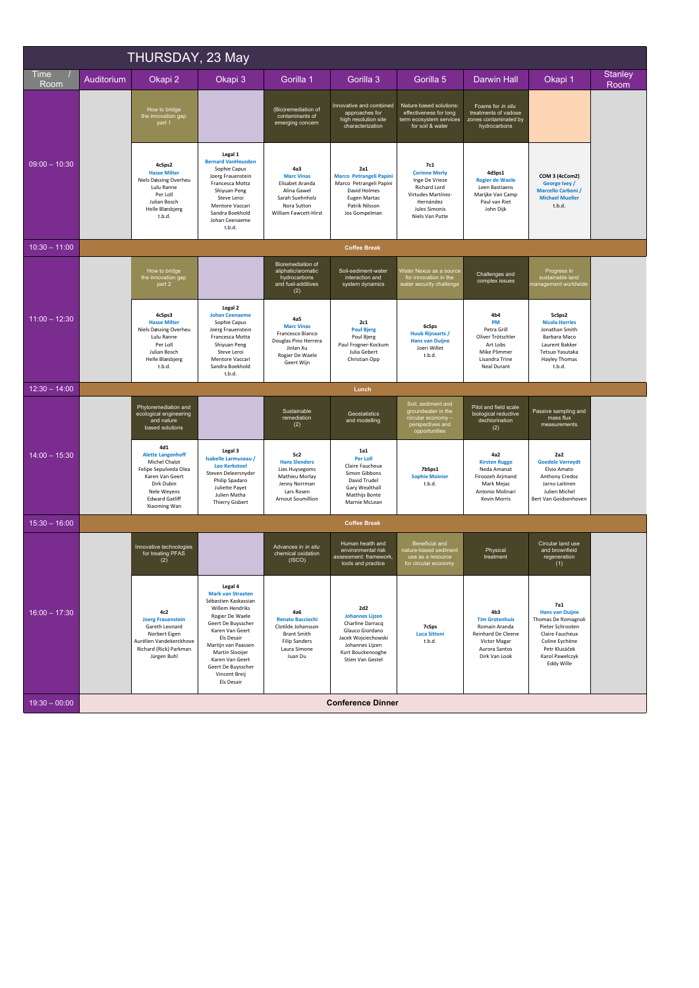| THURSDAY, 23 May |            |                                                                                                                                                                    |                                                                                                                                                                                                                                                                            |                                                                                                                               |                                                                                                                                                         |                                                                                                                                      |                                                                                                                                   |                                                                                                                                                                        |                        |
|------------------|------------|--------------------------------------------------------------------------------------------------------------------------------------------------------------------|----------------------------------------------------------------------------------------------------------------------------------------------------------------------------------------------------------------------------------------------------------------------------|-------------------------------------------------------------------------------------------------------------------------------|---------------------------------------------------------------------------------------------------------------------------------------------------------|--------------------------------------------------------------------------------------------------------------------------------------|-----------------------------------------------------------------------------------------------------------------------------------|------------------------------------------------------------------------------------------------------------------------------------------------------------------------|------------------------|
| Time<br>Room     | Auditorium | Okapi 2                                                                                                                                                            | Okapi 3                                                                                                                                                                                                                                                                    | Gorilla 1                                                                                                                     | Gorilla 3                                                                                                                                               | Gorilla 5                                                                                                                            | <b>Darwin Hall</b>                                                                                                                | Okapi 1                                                                                                                                                                | <b>Stanley</b><br>Room |
| $09:00 - 10:30$  |            | How to bridge<br>the innovation gap<br>part 1                                                                                                                      |                                                                                                                                                                                                                                                                            | (Bio)remediation of<br>contaminants of<br>emerging concern                                                                    | Innovative and combined<br>approaches for<br>high resolution site<br>characterization                                                                   | Nature based solutions:<br>effectiveness for long<br>term ecosystem services<br>for soil & water                                     | Foams for in situ<br>treatments of vadose<br>zones contaminated by<br>hydrocarbons                                                |                                                                                                                                                                        |                        |
|                  |            | 4cSps2<br><b>Hasse Milter</b><br>Niels Døssing Overheu<br>Lulu Ranne<br>Per Loll<br>Julian Bosch<br><b>Helle Blæsbjerg</b><br>t.b.d.                               | Legal 1<br><b>Bernard VanHeusden</b><br>Sophie Capus<br>Joerg Frauenstein<br>Francesca Motta<br>Shiyuan Peng<br>Steve Leroi<br>Mentore Vaccari<br>Sandra Boekhold<br>Johan Ceenaeme<br>t.b.d.                                                                              | 4a3<br><b>Marc Vinas</b><br>Elisabet Aranda<br>Alina Gawel<br>Sarah Suehnholz<br>Nora Sutton<br>William Fawcett-Hirst         | 2a1<br><b>Marco Petrangeli Papini</b><br>Marco Petrangeli Papini<br>David Holmes<br>Eugen Martac<br>Patrik Nilsson<br>Jos Gompelman                     | 7c1<br><b>Corinne Merly</b><br>Inge De Vrieze<br>Richard Lord<br>Virtudes Martínez-<br>Hernández<br>Jules Simonis<br>Niels Van Putte | 4dSps1<br><b>Rogier de Waele</b><br>Leen Bastiaens<br>Marijke Van Camp<br>Paul van Riet<br>John Dijk                              | COM 3 (4cCom2)<br>George Ivey /<br>Marcello Carboni /<br><b>Michael Mueller</b><br>t.b.d.                                                                              |                        |
| $10:30 - 11:00$  |            |                                                                                                                                                                    |                                                                                                                                                                                                                                                                            |                                                                                                                               | <b>Coffee Break</b>                                                                                                                                     |                                                                                                                                      |                                                                                                                                   |                                                                                                                                                                        |                        |
|                  |            | How to bridge<br>the innovation gap<br>part 2                                                                                                                      |                                                                                                                                                                                                                                                                            | Bioremediation of<br>aliphatic/aromatic<br>hydrocarbons<br>and fuel-additives<br>(2)                                          | Soil-sediment-water<br>interaction and<br>system dynamics                                                                                               | Water Nexus as a source<br>for innovation in the<br>water security challenge                                                         | Challenges and<br>complex issues                                                                                                  | Progress in<br>sustainable land<br>management worldwide                                                                                                                |                        |
| $11:00 - 12:30$  |            | 4cSps3<br><b>Hasse Milter</b><br>Niels Døssing Overheu<br>Lulu Ranne<br>Per Loll<br>Julian Bosch<br>Helle Blæsbjerg<br>t.b.d.                                      | Legal 2<br><b>Johan Ceenaeme</b><br>Sophie Capus<br>Joerg Frauenstein<br>Francesca Motta<br>Shiyuan Peng<br>Steve Leroi<br>Mentore Vaccari<br>Sandra Boekhold<br>t.b.d.                                                                                                    | 4a5<br><b>Marc Vinas</b><br>Francesco Bianco<br>Douglas Pino Herrera<br>Jinlan Xu<br>Rogier De Waele<br>Geert Wijn            | <b>2c1</b><br><b>Poul Bjerg</b><br>Poul Bjerg<br>Paul Frogner-Kockum<br>Julia Gebert<br>Christian Opp                                                   | 6cSps<br><b>Huub Rijnaarts /</b><br><b>Hans van Duijne</b><br>Joeri Willet<br>t.b.d.                                                 | 4 <sub>b4</sub><br>PM<br>Petra Grill<br>Oliver Trötschler<br>Art Lobs<br>Mike Plimmer<br>Lisandra Trine<br>Neal Durant            | 5cSps2<br><b>Nicola Harries</b><br>Jonathan Smith<br>Barbara Maco<br>Laurent Bakker<br>Tetsuo Yasutaka<br>Hayley Thomas<br>t.b.d.                                      |                        |
| $12:30 - 14:00$  |            |                                                                                                                                                                    |                                                                                                                                                                                                                                                                            |                                                                                                                               | Lunch                                                                                                                                                   |                                                                                                                                      |                                                                                                                                   |                                                                                                                                                                        |                        |
| $14:00 - 15:30$  |            | Phytoremediation and<br>ecological engineering<br>and nature<br>based solutions                                                                                    |                                                                                                                                                                                                                                                                            | Sustainable<br>remediation<br>(2)                                                                                             | Geostatistics<br>and modelling                                                                                                                          | Soil, sediment and<br>groundwater in the<br>circular economy -<br>perspectives and<br>opportunities                                  | Pilot and field scale<br>biological reductive<br>dechlorination<br>(2)                                                            | Passive sampling and<br>mass flux<br>measurements                                                                                                                      |                        |
|                  |            | 4d1<br><b>Alette Langenhoff</b><br>Michel Chalot<br>Felipe Sepulveda Olea<br>Karen Van Geert<br>Dirk Dubin<br>Nele Weyens<br><b>Edward Gatliff</b><br>Xiaoming Wan | Legal 3<br>Isabelle Larmuseau /<br><b>Leo Kerkstoel</b><br>Steven Deleersnyder<br>Philip Spadaro<br>Juliette Payet<br>Julien Matha<br><b>Thierry Gisbert</b>                                                                                                               | 5c2<br><b>Hans Slenders</b><br>Lies Huysegoms<br>Mathieu Morlay<br>Jenny Norrman<br>Lars Rosen<br><b>Arnout Soumillion</b>    | 1a1<br>Per Loll<br>Claire Faucheux<br>Simon Gibbons<br>David Trudel<br>Gary Wealthall<br>Matthijs Bonte<br>Marnie McLean                                | 7bSps1<br><b>Sophie Moinier</b><br>t.b.d.                                                                                            | 4a2<br><b>Kirsten Rugge</b><br>Neda Amanat<br>Firoozeh Arjmand<br>Mark Mejac<br>Antonio Molinari<br><b>Kevin Morris</b>           | 2a2<br><b>Goedele Verreydt</b><br>Elvio Amato<br>Anthony Credoz<br>Jarno Laitinen<br>Julien Michel<br>Bert Van Goidsenhoven                                            |                        |
| $15:30 - 16:00$  |            |                                                                                                                                                                    |                                                                                                                                                                                                                                                                            |                                                                                                                               | <b>Coffee Break</b>                                                                                                                                     |                                                                                                                                      |                                                                                                                                   |                                                                                                                                                                        |                        |
| $16:00 - 17:30$  |            | Innovative technologies<br>for treating PFAS<br>(2)                                                                                                                |                                                                                                                                                                                                                                                                            | Advances in in situ<br>chemical oxidation<br>(ISCO)                                                                           | Human health and<br>environmental risk<br>assessment: framework,<br>tools and practice                                                                  | Beneficial and<br>nature-based sediment<br>use as a resource<br>for circular economy                                                 | Physical<br>treatment                                                                                                             | Circular land use<br>and brownfield<br>regeneration<br>(1)                                                                                                             |                        |
|                  |            | 4c2<br><b>Joerg Frauenstein</b><br>Gareth Leonard<br>Norbert Eigen<br>Aurélien Vandekerckhove<br>Richard (Rick) Parkman<br>Jürgen Buhl                             | Legal 4<br><b>Mark van Straaten</b><br>Sébastien Kaskassian<br>Willem Hendriks<br>Rogier De Waele<br>Geert De Buysscher<br>Karen Van Geert<br>Els Desair<br>Martijn van Paassen<br>Martin Slooijer<br>Karen Van Geert<br>Geert De Buysscher<br>Vincent Breij<br>Els Desair | 4a6<br><b>Renato Bacciochi</b><br>Clotilde Johansson<br><b>Brant Smith</b><br><b>Filip Sanders</b><br>Laura Simone<br>Juan Du | 2d2<br><b>Johannes Lijzen</b><br>Charline Darracq<br>Glauco Giordano<br>Jacek Wojciechowski<br>Johannes Lijzen<br>Kurt Bouckenooghe<br>Stien Van Gestel | 7cSps<br><b>Luca Sittoni</b><br>t.b.d.                                                                                               | 4 <sub>b3</sub><br><b>Tim Grotenhuis</b><br>Romain Aranda<br>Reinhard De Cleene<br>Victor Magar<br>Aurora Santos<br>Dirk Van Look | 7a1<br><b>Hans van Duijne</b><br>Thomas De Romagnoli<br>Pieter Schrooten<br>Claire Faucheux<br>Coline Eychène<br>Petr Klusáček<br>Karol Pawelczyk<br><b>Eddy Wille</b> |                        |
| $19:30 - 00:00$  |            |                                                                                                                                                                    |                                                                                                                                                                                                                                                                            |                                                                                                                               | <b>Conference Dinner</b>                                                                                                                                |                                                                                                                                      |                                                                                                                                   |                                                                                                                                                                        |                        |